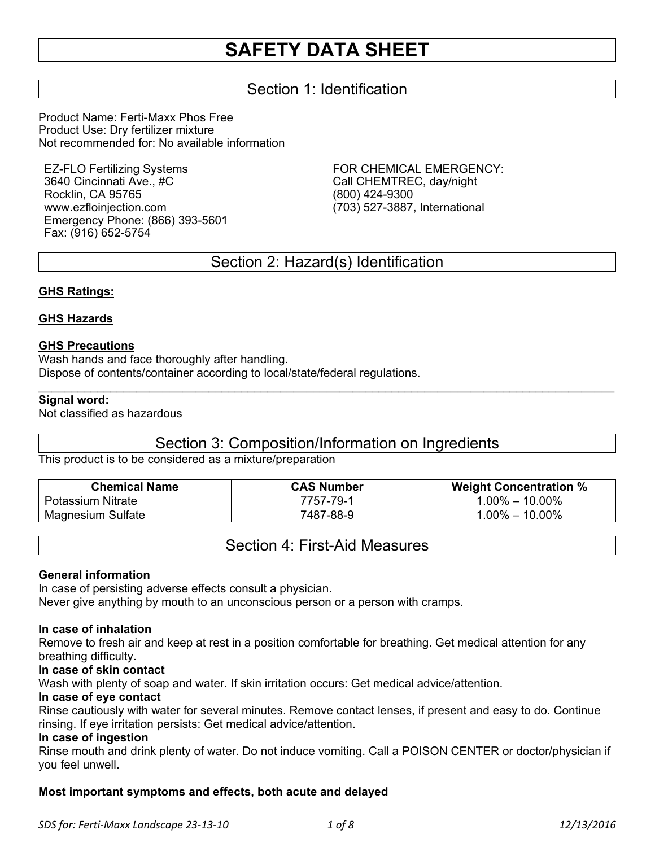# **SAFETY DATA SHEET**

# Section 1: Identification

Product Name: Ferti-Maxx Phos Free Product Use: Dry fertilizer mixture Not recommended for: No available information

EZ-FLO Fertilizing Systems 3640 Cincinnati Ave., #C Rocklin, CA 95765 www.ezfloinjection.com Emergency Phone: (866) 393-5601 Fax: (916) 652-5754

FOR CHEMICAL EMERGENCY: Call CHEMTREC, day/night (800) 424-9300 (703) 527-3887, International

# Section 2: Hazard(s) Identification

#### **GHS Ratings:**

#### **GHS Hazards**

#### **GHS Precautions**

Wash hands and face thoroughly after handling. Dispose of contents/container according to local/state/federal regulations.

#### **Signal word:**

Not classified as hazardous

# Section 3: Composition/Information on Ingredients

 $\mathcal{L}_\mathcal{L} = \mathcal{L}_\mathcal{L} = \mathcal{L}_\mathcal{L} = \mathcal{L}_\mathcal{L} = \mathcal{L}_\mathcal{L} = \mathcal{L}_\mathcal{L} = \mathcal{L}_\mathcal{L} = \mathcal{L}_\mathcal{L} = \mathcal{L}_\mathcal{L} = \mathcal{L}_\mathcal{L} = \mathcal{L}_\mathcal{L} = \mathcal{L}_\mathcal{L} = \mathcal{L}_\mathcal{L} = \mathcal{L}_\mathcal{L} = \mathcal{L}_\mathcal{L} = \mathcal{L}_\mathcal{L} = \mathcal{L}_\mathcal{L}$ 

This product is to be considered as a mixture/preparation

| <b>Chemical Name</b>     | <b>CAS Number</b> | <b>Weight Concentration %</b> |
|--------------------------|-------------------|-------------------------------|
| Potassium Nitrate        | 7757-79-1         | $1.00\% - 10.00\%$            |
| <b>Magnesium Sulfate</b> | 7487-88-9         | $1.00\% - 10.00\%$            |

# Section 4: First-Aid Measures

#### **General information**

In case of persisting adverse effects consult a physician. Never give anything by mouth to an unconscious person or a person with cramps.

#### **In case of inhalation**

Remove to fresh air and keep at rest in a position comfortable for breathing. Get medical attention for any breathing difficulty.

#### **In case of skin contact**

Wash with plenty of soap and water. If skin irritation occurs: Get medical advice/attention.

#### **In case of eye contact**

Rinse cautiously with water for several minutes. Remove contact lenses, if present and easy to do. Continue rinsing. If eye irritation persists: Get medical advice/attention.

#### **In case of ingestion**

Rinse mouth and drink plenty of water. Do not induce vomiting. Call a POISON CENTER or doctor/physician if you feel unwell.

## **Most important symptoms and effects, both acute and delayed**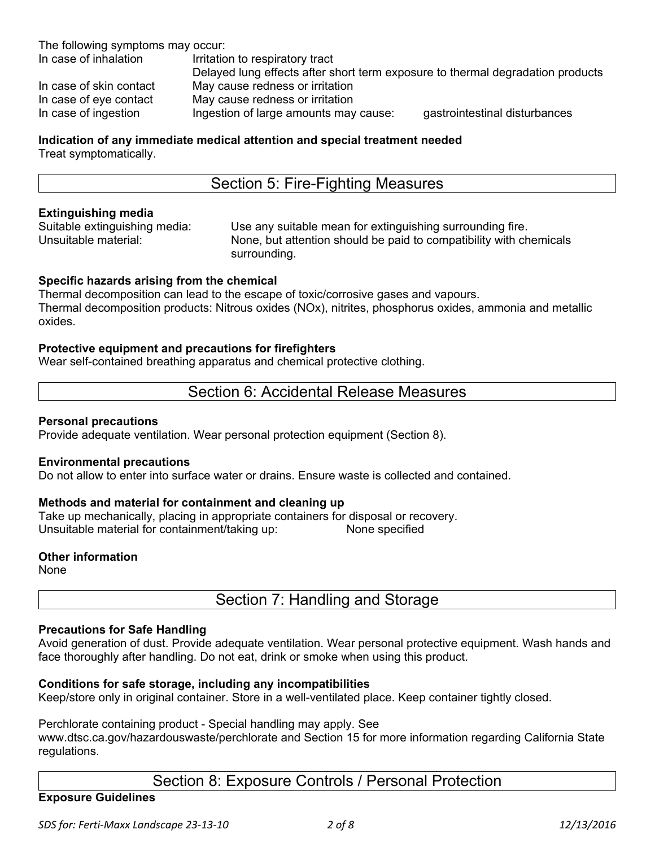The following symptoms may occur:

In case of inhalation Irritation to respiratory tract Delayed lung effects after short term exposure to thermal degradation products In case of skin contact May cause redness or irritation In case of eye contact May cause redness or irritation In case of ingestion Ingestion of large amounts may cause: gastrointestinal disturbances

# **Indication of any immediate medical attention and special treatment needed**

Treat symptomatically.

# Section 5: Fire-Fighting Measures

#### **Extinguishing media**

Suitable extinguishing media: Use any suitable mean for extinguishing surrounding fire. Unsuitable material: None, but attention should be paid to compatibility with chemicals surrounding.

## **Specific hazards arising from the chemical**

Thermal decomposition can lead to the escape of toxic/corrosive gases and vapours. Thermal decomposition products: Nitrous oxides (NOx), nitrites, phosphorus oxides, ammonia and metallic oxides.

#### **Protective equipment and precautions for firefighters**

Wear self-contained breathing apparatus and chemical protective clothing.

# Section 6: Accidental Release Measures

#### **Personal precautions**

Provide adequate ventilation. Wear personal protection equipment (Section 8).

#### **Environmental precautions**

Do not allow to enter into surface water or drains. Ensure waste is collected and contained.

## **Methods and material for containment and cleaning up**

Take up mechanically, placing in appropriate containers for disposal or recovery. Unsuitable material for containment/taking up: None specified

#### **Other information**

None

Section 7: Handling and Storage

#### **Precautions for Safe Handling**

Avoid generation of dust. Provide adequate ventilation. Wear personal protective equipment. Wash hands and face thoroughly after handling. Do not eat, drink or smoke when using this product.

## **Conditions for safe storage, including any incompatibilities**

Keep/store only in original container. Store in a well-ventilated place. Keep container tightly closed.

#### Perchlorate containing product - Special handling may apply. See

www.dtsc.ca.gov/hazardouswaste/perchlorate and Section 15 for more information regarding California State regulations.

# Section 8: Exposure Controls / Personal Protection

## **Exposure Guidelines**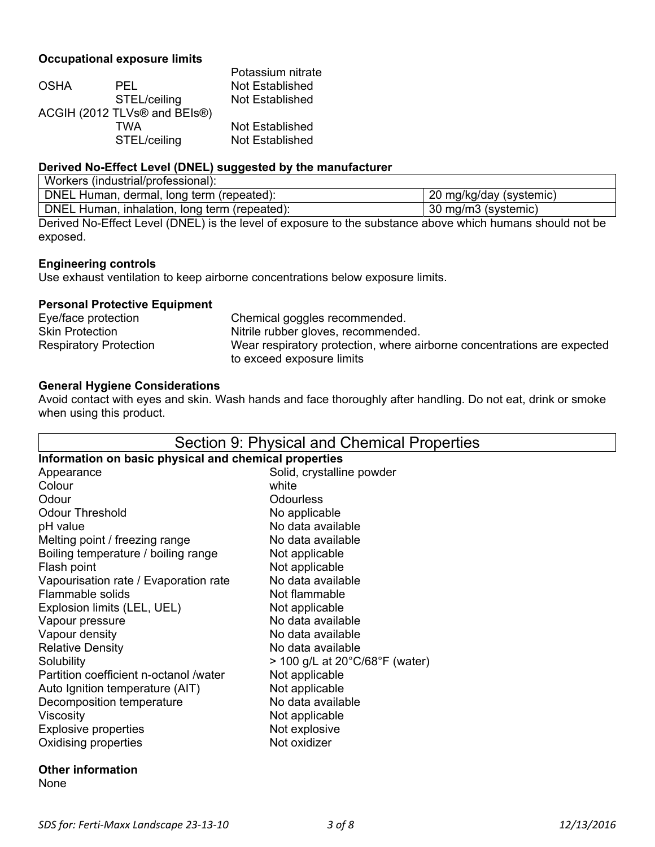# **Occupational exposure limits**

|              | Potassium nitrate            |
|--------------|------------------------------|
| PEL.         | Not Established              |
| STEL/ceiling | Not Established              |
|              |                              |
| TWA          | Not Established              |
| STEL/ceiling | Not Established              |
|              | ACGIH (2012 TLVs® and BEIs®) |

#### **Derived No-Effect Level (DNEL) suggested by the manufacturer**

| Workers (industrial/professional):            |                         |
|-----------------------------------------------|-------------------------|
| DNEL Human, dermal, long term (repeated):     | 20 mg/kg/day (systemic) |
| DNEL Human, inhalation, long term (repeated): | 30 mg/m3 (systemic)     |

Derived No-Effect Level (DNEL) is the level of exposure to the substance above which humans should not be exposed.

## **Engineering controls**

Use exhaust ventilation to keep airborne concentrations below exposure limits.

#### **Personal Protective Equipment**

| Eye/face protection           | Chemical goggles recommended.                                           |
|-------------------------------|-------------------------------------------------------------------------|
| <b>Skin Protection</b>        | Nitrile rubber gloves, recommended.                                     |
| <b>Respiratory Protection</b> | Wear respiratory protection, where airborne concentrations are expected |
|                               | to exceed exposure limits                                               |

#### **General Hygiene Considerations**

Avoid contact with eyes and skin. Wash hands and face thoroughly after handling. Do not eat, drink or smoke when using this product.

#### Section 9: Physical and Chemical Properties **Information on basic physical and chemical properties**  Appearance **Solid**, crystalline powder Colour white white Odour **Odourless** Odour Threshold No applicable pH value No data available Melting point / freezing range No data available Boiling temperature / boiling range Not applicable Flash point Not applicable Vapourisation rate / Evaporation rate No data available Flammable solids Not flammable Explosion limits (LEL, UEL) Not applicable Vapour pressure No data available Vapour density No data available Relative Density **No. 2018** No data available Solubility  $> 100 \text{ g/L}$  at  $20^{\circ} \text{C} / 68^{\circ} \text{F}$  (water) Partition coefficient n-octanol /water Not applicable Auto Ignition temperature (AIT) Not applicable Decomposition temperature No data available Viscosity **Not applicable** Explosive properties<br>
Oxidising properties<br>
Oxidizer Oxidising properties

# **Other information**

None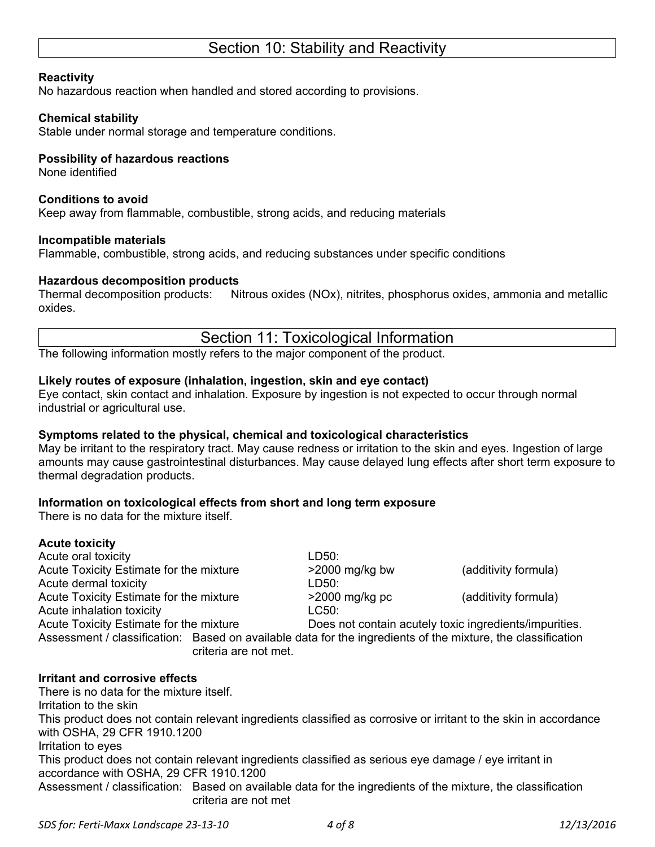# Section 10: Stability and Reactivity

#### **Reactivity**

No hazardous reaction when handled and stored according to provisions.

#### **Chemical stability**

Stable under normal storage and temperature conditions.

#### **Possibility of hazardous reactions**

None identified

#### **Conditions to avoid**

Keep away from flammable, combustible, strong acids, and reducing materials

#### **Incompatible materials**

Flammable, combustible, strong acids, and reducing substances under specific conditions

#### **Hazardous decomposition products**

Thermal decomposition products: Nitrous oxides (NOx), nitrites, phosphorus oxides, ammonia and metallic oxides.

# Section 11: Toxicological Information

The following information mostly refers to the major component of the product.

#### **Likely routes of exposure (inhalation, ingestion, skin and eye contact)**

Eye contact, skin contact and inhalation. Exposure by ingestion is not expected to occur through normal industrial or agricultural use.

## **Symptoms related to the physical, chemical and toxicological characteristics**

May be irritant to the respiratory tract. May cause redness or irritation to the skin and eyes. Ingestion of large amounts may cause gastrointestinal disturbances. May cause delayed lung effects after short term exposure to thermal degradation products.

## **Information on toxicological effects from short and long term exposure**

There is no data for the mixture itself.

#### **Acute toxicity**

Acute oral toxicity and the set of the LD50: Acute Toxicity Estimate for the mixture  $>2000$  mg/kg bw (additivity formula) Acute dermal toxicity and the control of the LD50: Acute Toxicity Estimate for the mixture >2000 mg/kg pc (additivity formula) Acute inhalation toxicity **LC50:** 

Acute Toxicity Estimate for the mixture Does not contain acutely toxic ingredients/impurities.

Assessment / classification: Based on available data for the ingredients of the mixture, the classification criteria are not met.

## **Irritant and corrosive effects**

There is no data for the mixture itself. Irritation to the skin This product does not contain relevant ingredients classified as corrosive or irritant to the skin in accordance with OSHA, 29 CFR 1910.1200 Irritation to eyes This product does not contain relevant ingredients classified as serious eye damage / eye irritant in accordance with OSHA, 29 CFR 1910.1200 Assessment / classification: Based on available data for the ingredients of the mixture, the classification criteria are not met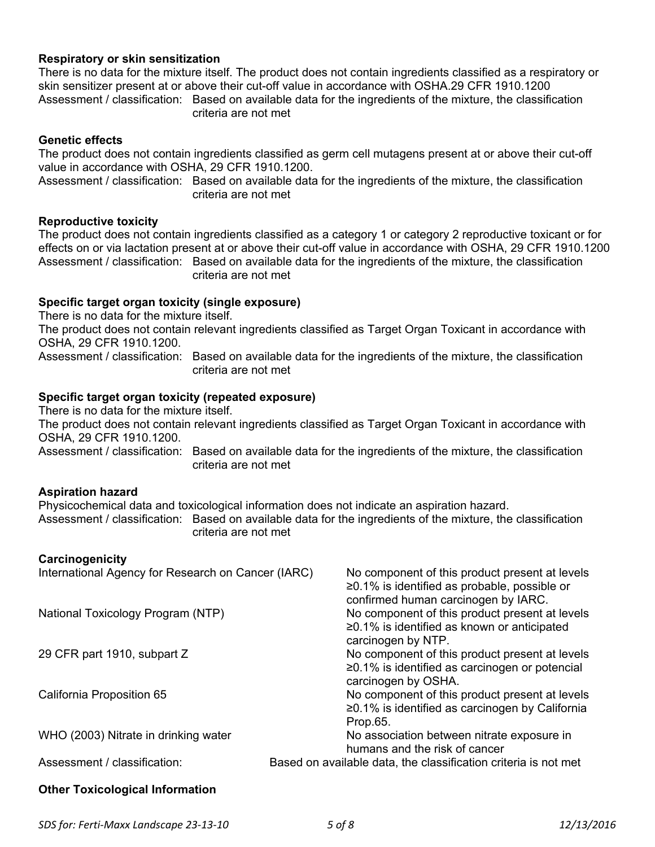#### **Respiratory or skin sensitization**

There is no data for the mixture itself. The product does not contain ingredients classified as a respiratory or skin sensitizer present at or above their cut-off value in accordance with OSHA.29 CFR 1910.1200 Assessment / classification: Based on available data for the ingredients of the mixture, the classification criteria are not met

#### **Genetic effects**

The product does not contain ingredients classified as germ cell mutagens present at or above their cut-off value in accordance with OSHA, 29 CFR 1910.1200.

Assessment / classification: Based on available data for the ingredients of the mixture, the classification criteria are not met

#### **Reproductive toxicity**

The product does not contain ingredients classified as a category 1 or category 2 reproductive toxicant or for effects on or via lactation present at or above their cut-off value in accordance with OSHA, 29 CFR 1910.1200 Assessment / classification: Based on available data for the ingredients of the mixture, the classification criteria are not met

#### **Specific target organ toxicity (single exposure)**

There is no data for the mixture itself.

The product does not contain relevant ingredients classified as Target Organ Toxicant in accordance with OSHA, 29 CFR 1910.1200.

Assessment / classification: Based on available data for the ingredients of the mixture, the classification criteria are not met

#### **Specific target organ toxicity (repeated exposure)**

There is no data for the mixture itself.

The product does not contain relevant ingredients classified as Target Organ Toxicant in accordance with OSHA, 29 CFR 1910.1200.

Assessment / classification: Based on available data for the ingredients of the mixture, the classification criteria are not met

#### **Aspiration hazard**

Physicochemical data and toxicological information does not indicate an aspiration hazard. Assessment / classification: Based on available data for the ingredients of the mixture, the classification criteria are not met

#### **Carcinogenicity**

| International Agency for Research on Cancer (IARC) | No component of this product present at levels<br>$\geq$ 0.1% is identified as probable, possible or<br>confirmed human carcinogen by IARC. |
|----------------------------------------------------|---------------------------------------------------------------------------------------------------------------------------------------------|
| National Toxicology Program (NTP)                  | No component of this product present at levels<br>$\geq$ 0.1% is identified as known or anticipated<br>carcinogen by NTP.                   |
| 29 CFR part 1910, subpart Z                        | No component of this product present at levels<br>$\geq$ 0.1% is identified as carcinogen or potencial<br>carcinogen by OSHA.               |
| California Proposition 65                          | No component of this product present at levels<br>≥0.1% is identified as carcinogen by California<br>Prop.65.                               |
| WHO (2003) Nitrate in drinking water               | No association between nitrate exposure in<br>humans and the risk of cancer                                                                 |
| Assessment / classification:                       | Based on available data, the classification criteria is not met                                                                             |
| <b>Other Toxicological Information</b>             |                                                                                                                                             |

# *SDS for: Ferti‐Maxx Landscape 23‐13‐10 5 of 8 12/13/2016*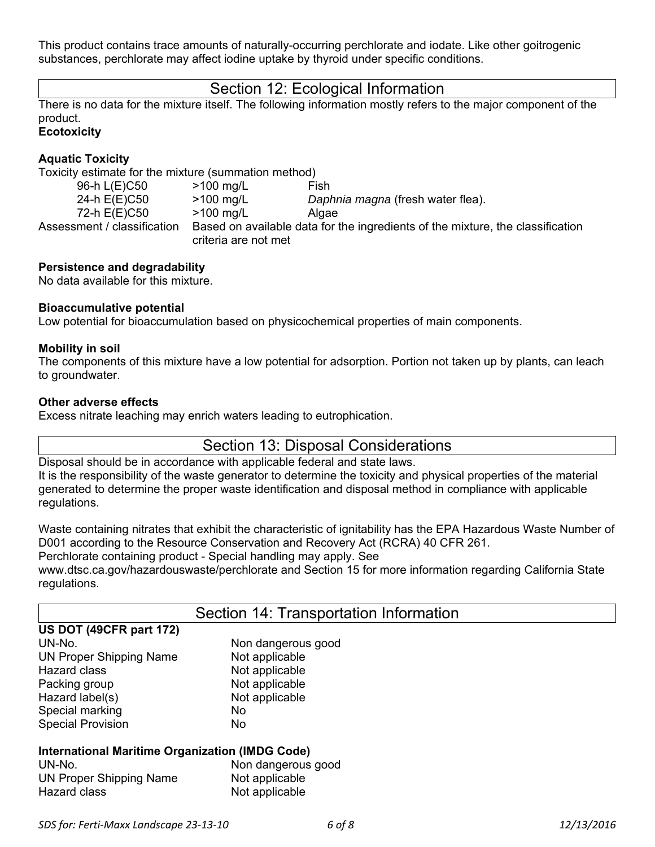This product contains trace amounts of naturally-occurring perchlorate and iodate. Like other goitrogenic substances, perchlorate may affect iodine uptake by thyroid under specific conditions.

# Section 12: Ecological Information

There is no data for the mixture itself. The following information mostly refers to the major component of the product.

# **Ecotoxicity**

# **Aquatic Toxicity**

Toxicity estimate for the mixture (summation method)

| 96-h L(E)C50                | $>100 \text{ mg/L}$  | Fish                                                                           |
|-----------------------------|----------------------|--------------------------------------------------------------------------------|
| 24-h E(E)C50                | $>100$ mg/L          | Daphnia magna (fresh water flea).                                              |
| 72-h E(E)C50                | $>100 \text{ mg/L}$  | Algae                                                                          |
| Assessment / classification |                      | Based on available data for the ingredients of the mixture, the classification |
|                             | criteria are not met |                                                                                |

## **Persistence and degradability**

No data available for this mixture.

## **Bioaccumulative potential**

Low potential for bioaccumulation based on physicochemical properties of main components.

#### **Mobility in soil**

The components of this mixture have a low potential for adsorption. Portion not taken up by plants, can leach to groundwater.

#### **Other adverse effects**

Excess nitrate leaching may enrich waters leading to eutrophication.

# Section 13: Disposal Considerations

Disposal should be in accordance with applicable federal and state laws. It is the responsibility of the waste generator to determine the toxicity and physical properties of the material generated to determine the proper waste identification and disposal method in compliance with applicable regulations.

Waste containing nitrates that exhibit the characteristic of ignitability has the EPA Hazardous Waste Number of D001 according to the Resource Conservation and Recovery Act (RCRA) 40 CFR 261. Perchlorate containing product - Special handling may apply. See

www.dtsc.ca.gov/hazardouswaste/perchlorate and Section 15 for more information regarding California State regulations.

| Section 14: Transportation Information                 |                    |  |
|--------------------------------------------------------|--------------------|--|
| US DOT (49CFR part 172)                                |                    |  |
| UN-No.                                                 | Non dangerous good |  |
| <b>UN Proper Shipping Name</b>                         | Not applicable     |  |
| Hazard class                                           | Not applicable     |  |
| Packing group                                          | Not applicable     |  |
| Hazard label(s)                                        | Not applicable     |  |
| Special marking                                        | No.                |  |
| <b>Special Provision</b>                               | No.                |  |
| <b>International Maritime Organization (IMDG Code)</b> |                    |  |
| UN-No.                                                 | Non dangerous good |  |
| <b>UN Proper Shipping Name</b>                         | Not applicable     |  |
| <b>Hazard class</b>                                    | Not applicable     |  |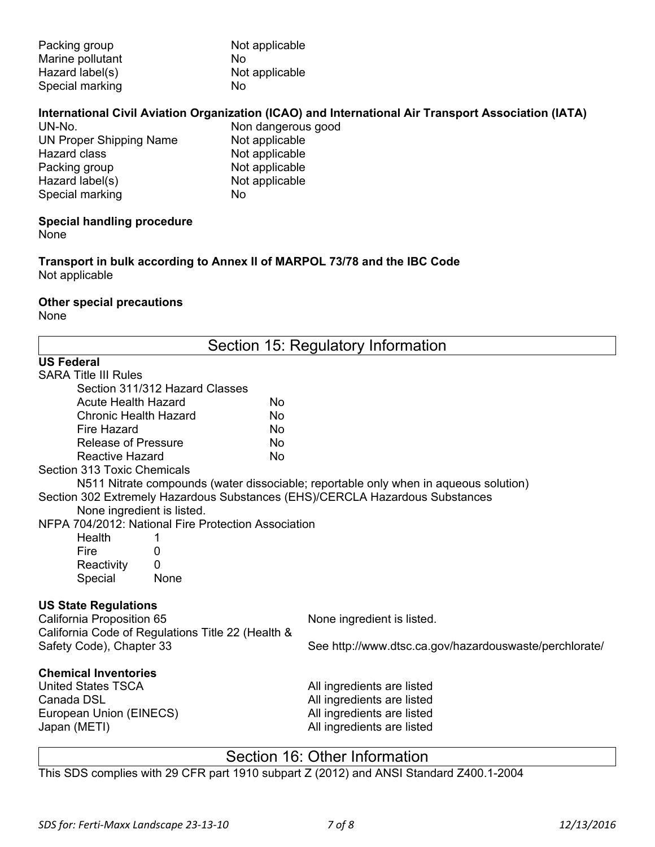| Packing group    | Not applicable |
|------------------|----------------|
| Marine pollutant | No             |
| Hazard label(s)  | Not applicable |
| Special marking  | N٥             |

# **International Civil Aviation Organization (ICAO) and International Air Transport Association (IATA)**

UN-No. Non dangerous good UN Proper Shipping Name Not applicable Hazard class Not applicable<br>Packing group Not applicable Packing group Not applicable<br>
Hazard label(s) Not applicable Hazard label(s) Not<br>Special marking No Special marking

# **Special handling procedure**

None

**Transport in bulk according to Annex II of MARPOL 73/78 and the IBC Code**  Not applicable

## **Other special precautions**

None

| Section 15: Regulatory Information                                           |                                                                                      |  |
|------------------------------------------------------------------------------|--------------------------------------------------------------------------------------|--|
| <b>US Federal</b>                                                            |                                                                                      |  |
| <b>SARA Title III Rules</b>                                                  |                                                                                      |  |
| Section 311/312 Hazard Classes                                               |                                                                                      |  |
| <b>Acute Health Hazard</b><br>No                                             |                                                                                      |  |
| <b>Chronic Health Hazard</b><br>No                                           |                                                                                      |  |
| <b>Fire Hazard</b><br>No                                                     |                                                                                      |  |
| <b>Release of Pressure</b><br>No                                             |                                                                                      |  |
| Reactive Hazard<br>No                                                        |                                                                                      |  |
| Section 313 Toxic Chemicals                                                  |                                                                                      |  |
|                                                                              | N511 Nitrate compounds (water dissociable; reportable only when in aqueous solution) |  |
| Section 302 Extremely Hazardous Substances (EHS)/CERCLA Hazardous Substances |                                                                                      |  |
| None ingredient is listed.                                                   |                                                                                      |  |
| NFPA 704/2012: National Fire Protection Association                          |                                                                                      |  |
| <b>Health</b><br>1                                                           |                                                                                      |  |
| Fire<br>0                                                                    |                                                                                      |  |
| 0<br>Reactivity                                                              |                                                                                      |  |
| Special<br>None                                                              |                                                                                      |  |
| <b>US State Regulations</b>                                                  |                                                                                      |  |
| California Proposition 65                                                    | None ingredient is listed.                                                           |  |
| California Code of Regulations Title 22 (Health &                            |                                                                                      |  |
| Safety Code), Chapter 33                                                     | See http://www.dtsc.ca.gov/hazardouswaste/perchlorate/                               |  |
| <b>Chemical Inventories</b>                                                  |                                                                                      |  |
| <b>United States TSCA</b>                                                    | All ingredients are listed                                                           |  |
| Canada DSL                                                                   | All ingredients are listed                                                           |  |
| European Union (EINECS)                                                      | All ingredients are listed                                                           |  |
| Japan (METI)                                                                 | All ingredients are listed                                                           |  |
|                                                                              |                                                                                      |  |

# Section 16: Other Information

This SDS complies with 29 CFR part 1910 subpart Z (2012) and ANSI Standard Z400.1-2004